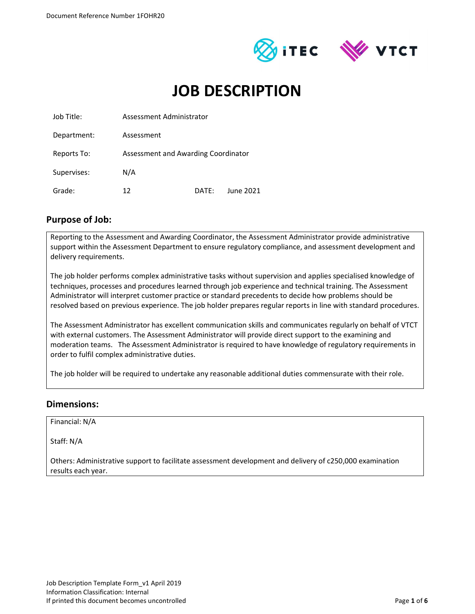



# JOB DESCRIPTION

| Job Title:  | Assessment Administrator            |       |           |  |
|-------------|-------------------------------------|-------|-----------|--|
| Department: | Assessment                          |       |           |  |
| Reports To: | Assessment and Awarding Coordinator |       |           |  |
| Supervises: | N/A                                 |       |           |  |
| Grade:      | 12                                  | DATF: | June 2021 |  |

### Purpose of Job:

Reporting to the Assessment and Awarding Coordinator, the Assessment Administrator provide administrative support within the Assessment Department to ensure regulatory compliance, and assessment development and delivery requirements.

The job holder performs complex administrative tasks without supervision and applies specialised knowledge of techniques, processes and procedures learned through job experience and technical training. The Assessment Administrator will interpret customer practice or standard precedents to decide how problems should be resolved based on previous experience. The job holder prepares regular reports in line with standard procedures.

The Assessment Administrator has excellent communication skills and communicates regularly on behalf of VTCT with external customers. The Assessment Administrator will provide direct support to the examining and moderation teams. The Assessment Administrator is required to have knowledge of regulatory requirements in order to fulfil complex administrative duties.

The job holder will be required to undertake any reasonable additional duties commensurate with their role.

#### Dimensions:

Financial: N/A

Staff: N/A

Others: Administrative support to facilitate assessment development and delivery of c250,000 examination results each year.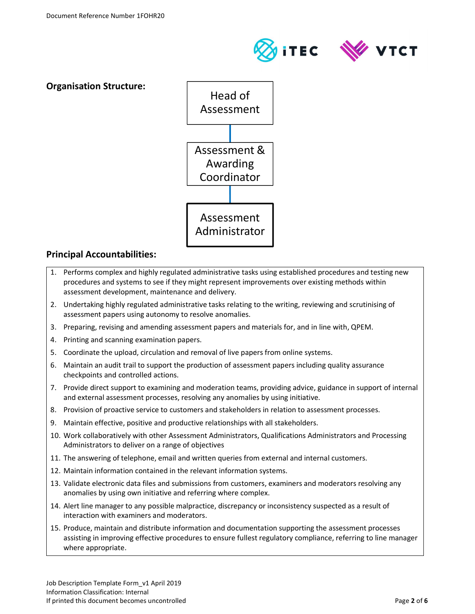Organisation Structure:





#### Principal Accountabilities:

- 1. Performs complex and highly regulated administrative tasks using established procedures and testing new procedures and systems to see if they might represent improvements over existing methods within assessment development, maintenance and delivery.
- 2. Undertaking highly regulated administrative tasks relating to the writing, reviewing and scrutinising of assessment papers using autonomy to resolve anomalies.
- 3. Preparing, revising and amending assessment papers and materials for, and in line with, QPEM.
- 4. Printing and scanning examination papers.
- 5. Coordinate the upload, circulation and removal of live papers from online systems.
- 6. Maintain an audit trail to support the production of assessment papers including quality assurance checkpoints and controlled actions.
- 7. Provide direct support to examining and moderation teams, providing advice, guidance in support of internal and external assessment processes, resolving any anomalies by using initiative.
- 8. Provision of proactive service to customers and stakeholders in relation to assessment processes.
- 9. Maintain effective, positive and productive relationships with all stakeholders.
- 10. Work collaboratively with other Assessment Administrators, Qualifications Administrators and Processing Administrators to deliver on a range of objectives
- 11. The answering of telephone, email and written queries from external and internal customers.
- 12. Maintain information contained in the relevant information systems.
- 13. Validate electronic data files and submissions from customers, examiners and moderators resolving any anomalies by using own initiative and referring where complex.
- 14. Alert line manager to any possible malpractice, discrepancy or inconsistency suspected as a result of interaction with examiners and moderators.
- 15. Produce, maintain and distribute information and documentation supporting the assessment processes assisting in improving effective procedures to ensure fullest regulatory compliance, referring to line manager where appropriate.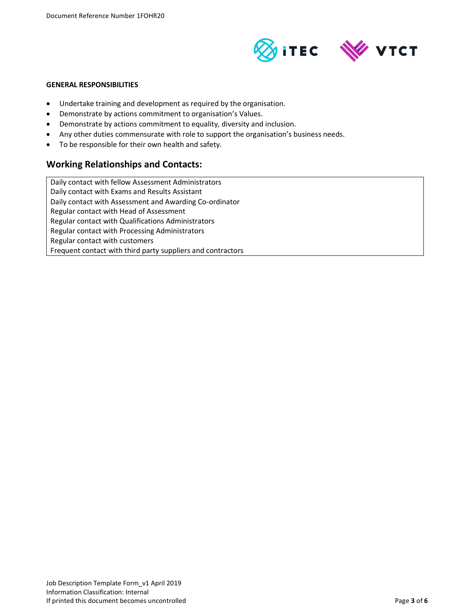

#### GENERAL RESPONSIBILITIES

- Undertake training and development as required by the organisation.
- Demonstrate by actions commitment to organisation's Values.
- Demonstrate by actions commitment to equality, diversity and inclusion.
- Any other duties commensurate with role to support the organisation's business needs.
- To be responsible for their own health and safety.

#### Working Relationships and Contacts:

Daily contact with fellow Assessment Administrators Daily contact with Exams and Results Assistant Daily contact with Assessment and Awarding Co-ordinator Regular contact with Head of Assessment Regular contact with Qualifications Administrators Regular contact with Processing Administrators Regular contact with customers Frequent contact with third party suppliers and contractors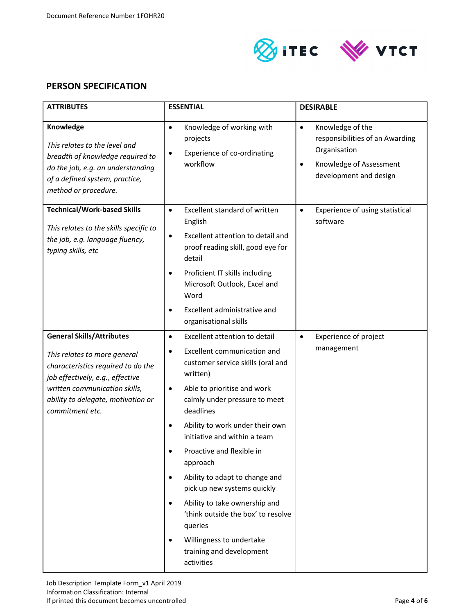



## PERSON SPECIFICATION

| <b>ATTRIBUTES</b>                                                                                                                                                                                                                    | <b>ESSENTIAL</b>                                                                                                                                                                                                                                             | <b>DESIRABLE</b>                                                                                                                                   |  |
|--------------------------------------------------------------------------------------------------------------------------------------------------------------------------------------------------------------------------------------|--------------------------------------------------------------------------------------------------------------------------------------------------------------------------------------------------------------------------------------------------------------|----------------------------------------------------------------------------------------------------------------------------------------------------|--|
| Knowledge<br>This relates to the level and<br>breadth of knowledge required to<br>do the job, e.g. an understanding<br>of a defined system, practice,<br>method or procedure.                                                        | Knowledge of working with<br>$\bullet$<br>projects<br>Experience of co-ordinating<br>$\bullet$<br>workflow                                                                                                                                                   | Knowledge of the<br>$\bullet$<br>responsibilities of an Awarding<br>Organisation<br>Knowledge of Assessment<br>$\bullet$<br>development and design |  |
| <b>Technical/Work-based Skills</b><br>This relates to the skills specific to<br>the job, e.g. language fluency,<br>typing skills, etc                                                                                                | Excellent standard of written<br>$\bullet$<br>English<br>Excellent attention to detail and<br>$\bullet$<br>proof reading skill, good eye for<br>detail<br>Proficient IT skills including<br>٠<br>Microsoft Outlook, Excel and<br>Word                        | Experience of using statistical<br>$\bullet$<br>software                                                                                           |  |
|                                                                                                                                                                                                                                      | Excellent administrative and<br>٠<br>organisational skills                                                                                                                                                                                                   |                                                                                                                                                    |  |
| <b>General Skills/Attributes</b><br>This relates to more general<br>characteristics required to do the<br>job effectively, e.g., effective<br>written communication skills,<br>ability to delegate, motivation or<br>commitment etc. | Excellent attention to detail<br>$\bullet$<br>Excellent communication and<br>customer service skills (oral and<br>written)<br>Able to prioritise and work<br>٠<br>calmly under pressure to meet                                                              | <b>Experience of project</b><br>$\bullet$<br>management                                                                                            |  |
|                                                                                                                                                                                                                                      | deadlines<br>Ability to work under their own<br>٠<br>initiative and within a team<br>Proactive and flexible in<br>approach                                                                                                                                   |                                                                                                                                                    |  |
|                                                                                                                                                                                                                                      | Ability to adapt to change and<br>$\bullet$<br>pick up new systems quickly<br>Ability to take ownership and<br>$\bullet$<br>'think outside the box' to resolve<br>queries<br>Willingness to undertake<br>$\bullet$<br>training and development<br>activities |                                                                                                                                                    |  |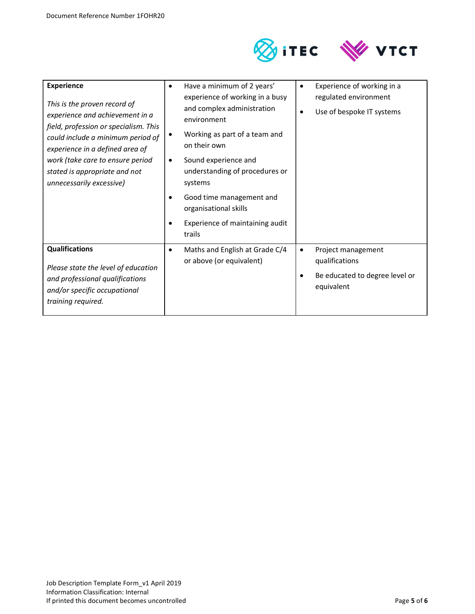

| <b>Experience</b><br>This is the proven record of<br>experience and achievement in a<br>field, profession or specialism. This<br>could include a minimum period of<br>experience in a defined area of<br>work (take care to ensure period<br>stated is appropriate and not<br>unnecessarily excessive) | Have a minimum of 2 years'<br>٠<br>experience of working in a busy<br>and complex administration<br>environment<br>Working as part of a team and<br>on their own<br>Sound experience and<br>understanding of procedures or<br>systems<br>Good time management and<br>organisational skills<br>Experience of maintaining audit<br>trails | Experience of working in a<br>regulated environment<br>Use of bespoke IT systems<br>٠     |
|--------------------------------------------------------------------------------------------------------------------------------------------------------------------------------------------------------------------------------------------------------------------------------------------------------|-----------------------------------------------------------------------------------------------------------------------------------------------------------------------------------------------------------------------------------------------------------------------------------------------------------------------------------------|-------------------------------------------------------------------------------------------|
| <b>Qualifications</b><br>Please state the level of education<br>and professional qualifications<br>and/or specific occupational<br>training required.                                                                                                                                                  | Maths and English at Grade C/4<br>٠<br>or above (or equivalent)                                                                                                                                                                                                                                                                         | Project management<br>٠<br>qualifications<br>Be educated to degree level or<br>equivalent |